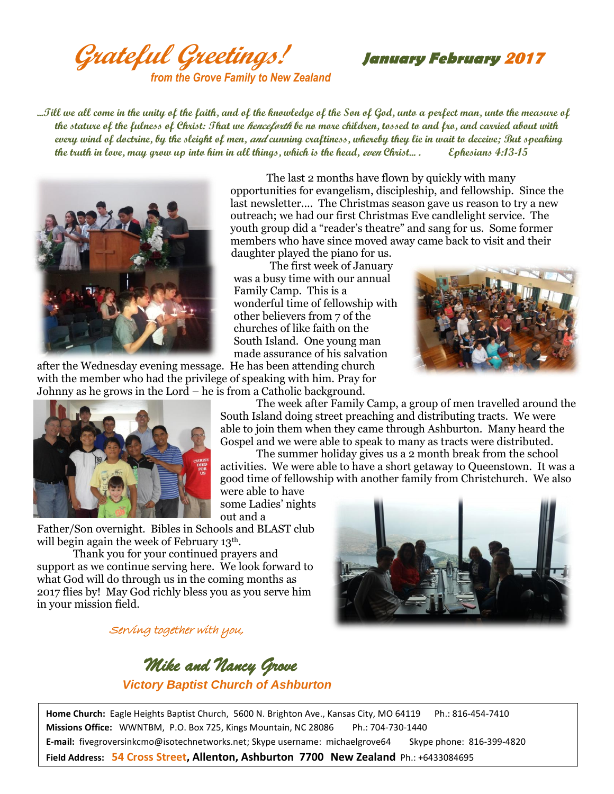**Grateful Greetings! January February <sup>2017</sup>** *from the Grove Family to New Zealand*

**...Till we all come in the unity of the faith, and of the knowledge of the Son of God, unto a perfect man, unto the measure of the stature of the fulness of Christ: That we henceforth be no more children, tossed to and fro, and carried about with every wind of doctrine, by the sleight of men, and cunning craftiness, whereby they lie in wait to deceive; But speaking the truth in love, may grow up into him in all things, which is the head, even Christ... . Ephesians 4:13-15**

daughter played the piano for us.

was a busy time with our annual

wonderful time of fellowship with other believers from 7 of the churches of like faith on the South Island. One young man made assurance of his salvation

Family Camp. This is a

The first week of January



after the Wednesday evening message. He has been attending church with the member who had the privilege of speaking with him. Pray for Johnny as he grows in the Lord – he is from a Catholic background.





The week after Family Camp, a group of men travelled around the South Island doing street preaching and distributing tracts. We were able to join them when they came through Ashburton. Many heard the Gospel and we were able to speak to many as tracts were distributed.

The last 2 months have flown by quickly with many opportunities for evangelism, discipleship, and fellowship. Since the last newsletter.... The Christmas season gave us reason to try a new outreach; we had our first Christmas Eve candlelight service. The youth group did a "reader's theatre" and sang for us. Some former members who have since moved away came back to visit and their

The summer holiday gives us a 2 month break from the school activities. We were able to have a short getaway to Queenstown. It was a good time of fellowship with another family from Christchurch. We also were able to have

some Ladies' nights out and a

Father/Son overnight. Bibles in Schools and BLAST club will begin again the week of February 13<sup>th</sup>.

Thank you for your continued prayers and support as we continue serving here. We look forward to what God will do through us in the coming months as 2017 flies by! May God richly bless you as you serve him in your mission field.

## Serving together with you,



 *Mike and Nancy Grove Victory Baptist Church of Ashburton*

**Home Church:** Eagle Heights Baptist Church, 5600 N. Brighton Ave., Kansas City, MO 64119 Ph.: 816-454-7410 **Missions Office:** WWNTBM, P.O. Box 725, Kings Mountain, NC 28086 Ph.: 704-730-1440 **E-mail:** fivegroversinkcmo@isotechnetworks.net; Skype username: michaelgrove64 Skype phone: 816-399-4820 **Field Address: 54 Cross Street, Allenton, Ashburton 7700 New Zealand** Ph.: +6433084695